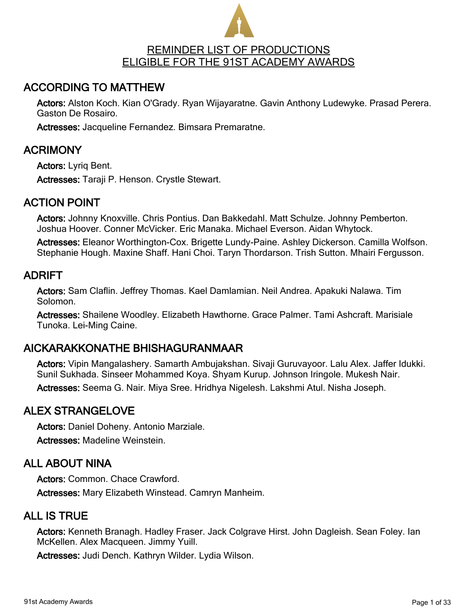

# ACCORDING TO MATTHEW

Actors: Alston Koch. Kian O'Grady. Ryan Wijayaratne. Gavin Anthony Ludewyke. Prasad Perera. Gaston De Rosairo.

Actresses: Jacqueline Fernandez. Bimsara Premaratne.

# ACRIMONY

Actors: Lyriq Bent. Actresses: Taraji P. Henson. Crystle Stewart.

# ACTION POINT

Actors: Johnny Knoxville. Chris Pontius. Dan Bakkedahl. Matt Schulze. Johnny Pemberton. Joshua Hoover. Conner McVicker. Eric Manaka. Michael Everson. Aidan Whytock.

Actresses: Eleanor Worthington-Cox. Brigette Lundy-Paine. Ashley Dickerson. Camilla Wolfson. Stephanie Hough. Maxine Shaff. Hani Choi. Taryn Thordarson. Trish Sutton. Mhairi Fergusson.

#### ADRIFT

Actors: Sam Claflin. Jeffrey Thomas. Kael Damlamian. Neil Andrea. Apakuki Nalawa. Tim Solomon.

Actresses: Shailene Woodley. Elizabeth Hawthorne. Grace Palmer. Tami Ashcraft. Marisiale Tunoka. Lei-Ming Caine.

### AICKARAKKONATHE BHISHAGURANMAAR

Actors: Vipin Mangalashery. Samarth Ambujakshan. Sivaji Guruvayoor. Lalu Alex. Jaffer Idukki. Sunil Sukhada. Sinseer Mohammed Koya. Shyam Kurup. Johnson Iringole. Mukesh Nair.

Actresses: Seema G. Nair. Miya Sree. Hridhya Nigelesh. Lakshmi Atul. Nisha Joseph.

### ALEX STRANGELOVE

Actors: Daniel Doheny. Antonio Marziale. Actresses: Madeline Weinstein.

### ALL ABOUT NINA

Actors: Common. Chace Crawford. Actresses: Mary Elizabeth Winstead. Camryn Manheim.

### ALL IS TRUE

Actors: Kenneth Branagh. Hadley Fraser. Jack Colgrave Hirst. John Dagleish. Sean Foley. Ian McKellen. Alex Macqueen. Jimmy Yuill.

Actresses: Judi Dench. Kathryn Wilder. Lydia Wilson.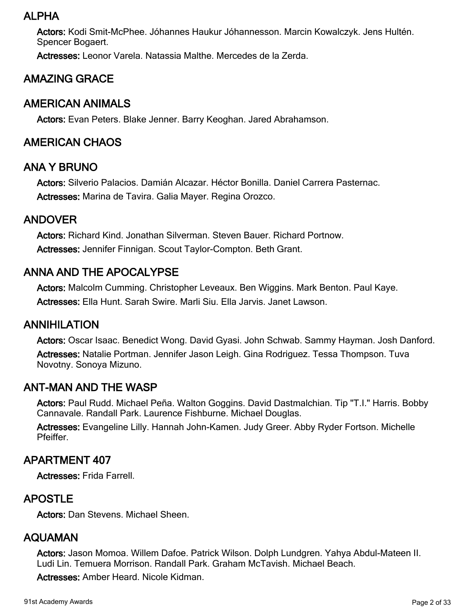### ALPHA

Actors: Kodi Smit-McPhee. Jóhannes Haukur Jóhannesson. Marcin Kowalczyk. Jens Hultén. Spencer Bogaert.

Actresses: Leonor Varela. Natassia Malthe. Mercedes de la Zerda.

# AMAZING GRACE

# AMERICAN ANIMALS

Actors: Evan Peters. Blake Jenner. Barry Keoghan. Jared Abrahamson.

### AMERICAN CHAOS

#### ANA Y BRUNO

Actors: Silverio Palacios. Damián Alcazar. Héctor Bonilla. Daniel Carrera Pasternac. Actresses: Marina de Tavira. Galia Mayer. Regina Orozco.

### ANDOVER

Actors: Richard Kind. Jonathan Silverman. Steven Bauer. Richard Portnow. Actresses: Jennifer Finnigan. Scout Taylor-Compton. Beth Grant.

# ANNA AND THE APOCALYPSE

Actors: Malcolm Cumming. Christopher Leveaux. Ben Wiggins. Mark Benton. Paul Kaye. Actresses: Ella Hunt. Sarah Swire. Marli Siu. Ella Jarvis. Janet Lawson.

#### ANNIHILATION

Actors: Oscar Isaac. Benedict Wong. David Gyasi. John Schwab. Sammy Hayman. Josh Danford. Actresses: Natalie Portman. Jennifer Jason Leigh. Gina Rodriguez. Tessa Thompson. Tuva Novotny. Sonoya Mizuno.

### ANT-MAN AND THE WASP

Actors: Paul Rudd. Michael Peña. Walton Goggins. David Dastmalchian. Tip "T.I." Harris. Bobby Cannavale. Randall Park. Laurence Fishburne. Michael Douglas.

Actresses: Evangeline Lilly. Hannah John-Kamen. Judy Greer. Abby Ryder Fortson. Michelle Pfeiffer.

### APARTMENT 407

Actresses: Frida Farrell.

### APOSTLE

Actors: Dan Stevens. Michael Sheen.

#### AQUAMAN

Actors: Jason Momoa. Willem Dafoe. Patrick Wilson. Dolph Lundgren. Yahya Abdul-Mateen II. Ludi Lin. Temuera Morrison. Randall Park. Graham McTavish. Michael Beach.

Actresses: Amber Heard. Nicole Kidman.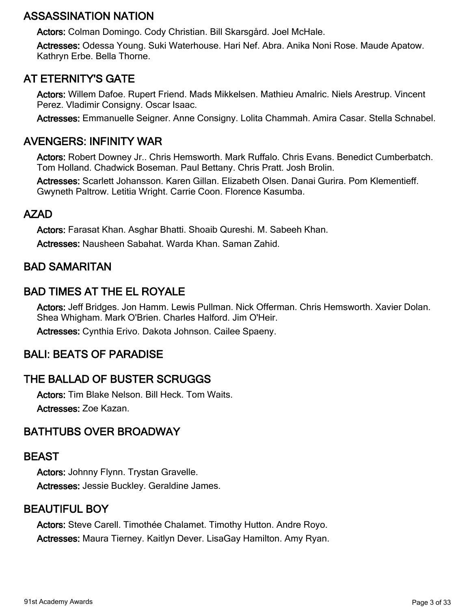# ASSASSINATION NATION

Actors: Colman Domingo. Cody Christian. Bill Skarsgård. Joel McHale.

Actresses: Odessa Young. Suki Waterhouse. Hari Nef. Abra. Anika Noni Rose. Maude Apatow. Kathryn Erbe. Bella Thorne.

# AT ETERNITY'S GATE

Actors: Willem Dafoe. Rupert Friend. Mads Mikkelsen. Mathieu Amalric. Niels Arestrup. Vincent Perez. Vladimir Consigny. Oscar Isaac.

Actresses: Emmanuelle Seigner. Anne Consigny. Lolita Chammah. Amira Casar. Stella Schnabel.

# AVENGERS: INFINITY WAR

Actors: Robert Downey Jr.. Chris Hemsworth. Mark Ruffalo. Chris Evans. Benedict Cumberbatch. Tom Holland. Chadwick Boseman. Paul Bettany. Chris Pratt. Josh Brolin.

Actresses: Scarlett Johansson. Karen Gillan. Elizabeth Olsen. Danai Gurira. Pom Klementieff. Gwyneth Paltrow. Letitia Wright. Carrie Coon. Florence Kasumba.

### AZAD

Actors: Farasat Khan. Asghar Bhatti. Shoaib Qureshi. M. Sabeeh Khan. Actresses: Nausheen Sabahat. Warda Khan. Saman Zahid.

### BAD SAMARITAN

# BAD TIMES AT THE EL ROYALE

Actors: Jeff Bridges. Jon Hamm. Lewis Pullman. Nick Offerman. Chris Hemsworth. Xavier Dolan. Shea Whigham. Mark O'Brien. Charles Halford. Jim O'Heir.

Actresses: Cynthia Erivo. Dakota Johnson. Cailee Spaeny.

### BALI: BEATS OF PARADISE

# THE BALLAD OF BUSTER SCRUGGS

Actors: Tim Blake Nelson. Bill Heck. Tom Waits. Actresses: Zoe Kazan.

### BATHTUBS OVER BROADWAY

#### BEAST

Actors: Johnny Flynn. Trystan Gravelle. Actresses: Jessie Buckley. Geraldine James.

### BEAUTIFUL BOY

Actors: Steve Carell. Timothée Chalamet. Timothy Hutton. Andre Royo. Actresses: Maura Tierney. Kaitlyn Dever. LisaGay Hamilton. Amy Ryan.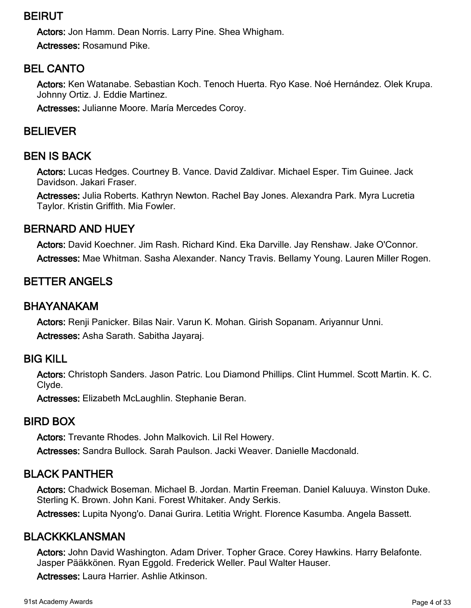# BEIRUT

Actors: Jon Hamm. Dean Norris. Larry Pine. Shea Whigham.

Actresses: Rosamund Pike.

# BEL CANTO

Actors: Ken Watanabe. Sebastian Koch. Tenoch Huerta. Ryo Kase. Noé Hernández. Olek Krupa. Johnny Ortiz. J. Eddie Martinez.

Actresses: Julianne Moore. María Mercedes Coroy.

# BELIEVER

# BEN IS BACK

Actors: Lucas Hedges. Courtney B. Vance. David Zaldivar. Michael Esper. Tim Guinee. Jack Davidson. Jakari Fraser.

Actresses: Julia Roberts. Kathryn Newton. Rachel Bay Jones. Alexandra Park. Myra Lucretia Taylor. Kristin Griffith. Mia Fowler.

# BERNARD AND HUEY

Actors: David Koechner. Jim Rash. Richard Kind. Eka Darville. Jay Renshaw. Jake O'Connor. Actresses: Mae Whitman. Sasha Alexander. Nancy Travis. Bellamy Young. Lauren Miller Rogen.

# BETTER ANGELS

### BHAYANAKAM

Actors: Renji Panicker. Bilas Nair. Varun K. Mohan. Girish Sopanam. Ariyannur Unni. Actresses: Asha Sarath. Sabitha Jayaraj.

### BIG KILL

Actors: Christoph Sanders. Jason Patric. Lou Diamond Phillips. Clint Hummel. Scott Martin. K. C. Clyde.

Actresses: Elizabeth McLaughlin. Stephanie Beran.

### BIRD BOX

Actors: Trevante Rhodes. John Malkovich. Lil Rel Howery.

Actresses: Sandra Bullock. Sarah Paulson. Jacki Weaver. Danielle Macdonald.

# BLACK PANTHER

Actors: Chadwick Boseman. Michael B. Jordan. Martin Freeman. Daniel Kaluuya. Winston Duke. Sterling K. Brown. John Kani. Forest Whitaker. Andy Serkis.

Actresses: Lupita Nyong'o. Danai Gurira. Letitia Wright. Florence Kasumba. Angela Bassett.

# BLACKKKLANSMAN

Actors: John David Washington. Adam Driver. Topher Grace. Corey Hawkins. Harry Belafonte. Jasper Pääkkönen. Ryan Eggold. Frederick Weller. Paul Walter Hauser.

Actresses: Laura Harrier. Ashlie Atkinson.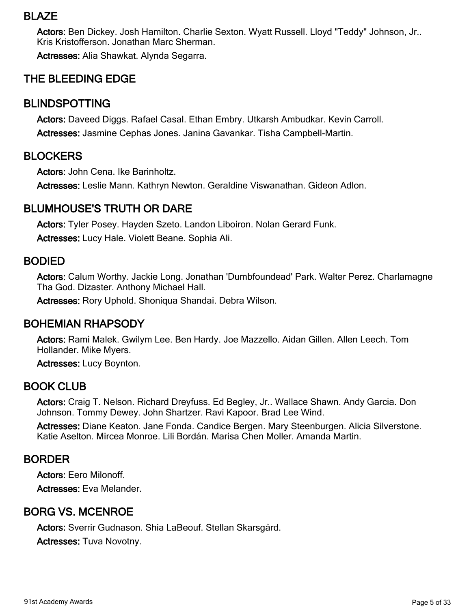### BLAZE

Actors: Ben Dickey. Josh Hamilton. Charlie Sexton. Wyatt Russell. Lloyd "Teddy" Johnson, Jr.. Kris Kristofferson. Jonathan Marc Sherman.

Actresses: Alia Shawkat. Alynda Segarra.

# THE BLEEDING EDGE

#### BLINDSPOTTING

Actors: Daveed Diggs. Rafael Casal. Ethan Embry. Utkarsh Ambudkar. Kevin Carroll. Actresses: Jasmine Cephas Jones. Janina Gavankar. Tisha Campbell-Martin.

#### **BLOCKERS**

Actors: John Cena. Ike Barinholtz.

Actresses: Leslie Mann. Kathryn Newton. Geraldine Viswanathan. Gideon Adlon.

### BLUMHOUSE'S TRUTH OR DARE

Actors: Tyler Posey. Hayden Szeto. Landon Liboiron. Nolan Gerard Funk.

Actresses: Lucy Hale. Violett Beane. Sophia Ali.

#### BODIED

Actors: Calum Worthy. Jackie Long. Jonathan 'Dumbfoundead' Park. Walter Perez. Charlamagne Tha God. Dizaster. Anthony Michael Hall.

Actresses: Rory Uphold. Shoniqua Shandai. Debra Wilson.

#### BOHEMIAN RHAPSODY

Actors: Rami Malek. Gwilym Lee. Ben Hardy. Joe Mazzello. Aidan Gillen. Allen Leech. Tom Hollander. Mike Myers.

Actresses: Lucy Boynton.

#### BOOK CLUB

Actors: Craig T. Nelson. Richard Dreyfuss. Ed Begley, Jr.. Wallace Shawn. Andy Garcia. Don Johnson. Tommy Dewey. John Shartzer. Ravi Kapoor. Brad Lee Wind.

Actresses: Diane Keaton. Jane Fonda. Candice Bergen. Mary Steenburgen. Alicia Silverstone. Katie Aselton. Mircea Monroe. Lili Bordán. Marisa Chen Moller. Amanda Martin.

### BORDER

Actors: Eero Milonoff.

Actresses: Eva Melander.

### BORG VS. MCENROE

Actors: Sverrir Gudnason. Shia LaBeouf. Stellan Skarsgård.

Actresses: Tuva Novotny.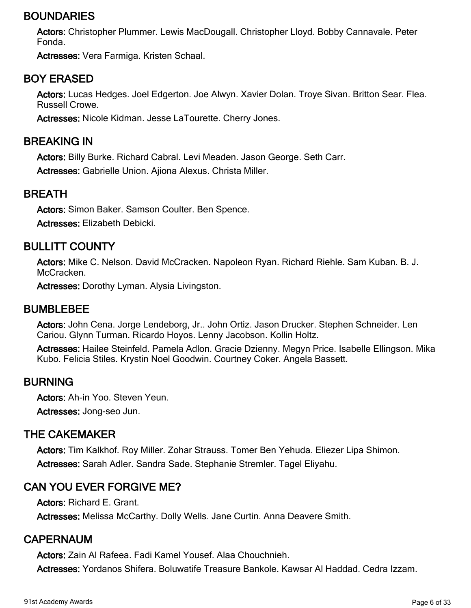# BOUNDARIES

Actors: Christopher Plummer. Lewis MacDougall. Christopher Lloyd. Bobby Cannavale. Peter Fonda.

Actresses: Vera Farmiga. Kristen Schaal.

## BOY ERASED

Actors: Lucas Hedges. Joel Edgerton. Joe Alwyn. Xavier Dolan. Troye Sivan. Britton Sear. Flea. Russell Crowe.

Actresses: Nicole Kidman. Jesse LaTourette. Cherry Jones.

#### BREAKING IN

Actors: Billy Burke. Richard Cabral. Levi Meaden. Jason George. Seth Carr.

Actresses: Gabrielle Union. Ajiona Alexus. Christa Miller.

#### BREATH

Actors: Simon Baker. Samson Coulter. Ben Spence.

Actresses: Elizabeth Debicki.

# BULLITT COUNTY

Actors: Mike C. Nelson. David McCracken. Napoleon Ryan. Richard Riehle. Sam Kuban. B. J. McCracken.

Actresses: Dorothy Lyman. Alysia Livingston.

#### **BUMBLEBEE**

Actors: John Cena. Jorge Lendeborg, Jr.. John Ortiz. Jason Drucker. Stephen Schneider. Len Cariou. Glynn Turman. Ricardo Hoyos. Lenny Jacobson. Kollin Holtz.

Actresses: Hailee Steinfeld. Pamela Adlon. Gracie Dzienny. Megyn Price. Isabelle Ellingson. Mika Kubo. Felicia Stiles. Krystin Noel Goodwin. Courtney Coker. Angela Bassett.

#### BURNING

Actors: Ah-in Yoo. Steven Yeun.

Actresses: Jong-seo Jun.

### THE CAKEMAKER

Actors: Tim Kalkhof. Roy Miller. Zohar Strauss. Tomer Ben Yehuda. Eliezer Lipa Shimon. Actresses: Sarah Adler. Sandra Sade. Stephanie Stremler. Tagel Eliyahu.

# CAN YOU EVER FORGIVE ME?

Actors: Richard E. Grant.

Actresses: Melissa McCarthy. Dolly Wells. Jane Curtin. Anna Deavere Smith.

#### CAPERNAUM

Actors: Zain Al Rafeea. Fadi Kamel Yousef. Alaa Chouchnieh. Actresses: Yordanos Shifera. Boluwatife Treasure Bankole. Kawsar Al Haddad. Cedra Izzam.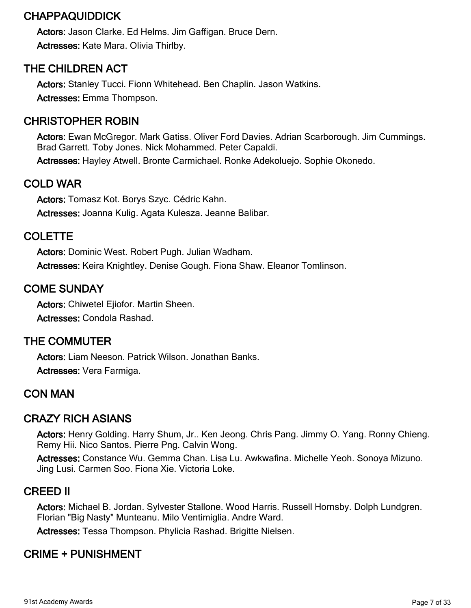# CHAPPAQUIDDICK

Actors: Jason Clarke. Ed Helms. Jim Gaffigan. Bruce Dern. Actresses: Kate Mara. Olivia Thirlby.

# THE CHILDREN ACT

Actors: Stanley Tucci. Fionn Whitehead. Ben Chaplin. Jason Watkins. Actresses: Emma Thompson.

# CHRISTOPHER ROBIN

Actors: Ewan McGregor. Mark Gatiss. Oliver Ford Davies. Adrian Scarborough. Jim Cummings. Brad Garrett. Toby Jones. Nick Mohammed. Peter Capaldi. Actresses: Hayley Atwell. Bronte Carmichael. Ronke Adekoluejo. Sophie Okonedo.

# COLD WAR

Actors: Tomasz Kot. Borys Szyc. Cédric Kahn. Actresses: Joanna Kulig. Agata Kulesza. Jeanne Balibar.

# COLETTE

Actors: Dominic West. Robert Pugh. Julian Wadham. Actresses: Keira Knightley. Denise Gough. Fiona Shaw. Eleanor Tomlinson.

# COME SUNDAY

Actors: Chiwetel Ejiofor. Martin Sheen. Actresses: Condola Rashad.

# THE COMMUTER

Actors: Liam Neeson. Patrick Wilson. Jonathan Banks. Actresses: Vera Farmiga.

# CON MAN

# CRAZY RICH ASIANS

Actors: Henry Golding. Harry Shum, Jr.. Ken Jeong. Chris Pang. Jimmy O. Yang. Ronny Chieng. Remy Hii. Nico Santos. Pierre Png. Calvin Wong.

Actresses: Constance Wu. Gemma Chan. Lisa Lu. Awkwafina. Michelle Yeoh. Sonoya Mizuno. Jing Lusi. Carmen Soo. Fiona Xie. Victoria Loke.

# CREED II

Actors: Michael B. Jordan. Sylvester Stallone. Wood Harris. Russell Hornsby. Dolph Lundgren. Florian "Big Nasty" Munteanu. Milo Ventimiglia. Andre Ward.

Actresses: Tessa Thompson. Phylicia Rashad. Brigitte Nielsen.

# CRIME + PUNISHMENT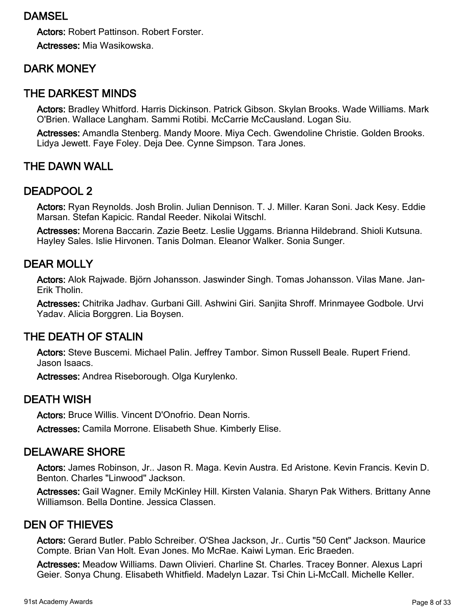### DAMSEL

Actors: Robert Pattinson. Robert Forster. Actresses: Mia Wasikowska.

# DARK MONEY

#### THE DARKEST MINDS

Actors: Bradley Whitford. Harris Dickinson. Patrick Gibson. Skylan Brooks. Wade Williams. Mark O'Brien. Wallace Langham. Sammi Rotibi. McCarrie McCausland. Logan Siu.

Actresses: Amandla Stenberg. Mandy Moore. Miya Cech. Gwendoline Christie. Golden Brooks. Lidya Jewett. Faye Foley. Deja Dee. Cynne Simpson. Tara Jones.

#### THE DAWN WALL

#### DEADPOOL 2

Actors: Ryan Reynolds. Josh Brolin. Julian Dennison. T. J. Miller. Karan Soni. Jack Kesy. Eddie Marsan. Stefan Kapicic. Randal Reeder. Nikolai Witschl.

Actresses: Morena Baccarin. Zazie Beetz. Leslie Uggams. Brianna Hildebrand. Shioli Kutsuna. Hayley Sales. Islie Hirvonen. Tanis Dolman. Eleanor Walker. Sonia Sunger.

#### DEAR MOLLY

Actors: Alok Rajwade. Björn Johansson. Jaswinder Singh. Tomas Johansson. Vilas Mane. Jan-Erik Tholin.

Actresses: Chitrika Jadhav. Gurbani Gill. Ashwini Giri. Sanjita Shroff. Mrinmayee Godbole. Urvi Yadav. Alicia Borggren. Lia Boysen.

#### THE DEATH OF STALIN

Actors: Steve Buscemi. Michael Palin. Jeffrey Tambor. Simon Russell Beale. Rupert Friend. Jason Isaacs.

Actresses: Andrea Riseborough. Olga Kurylenko.

#### DEATH WISH

Actors: Bruce Willis. Vincent D'Onofrio. Dean Norris.

Actresses: Camila Morrone. Elisabeth Shue. Kimberly Elise.

### DELAWARE SHORE

Actors: James Robinson, Jr.. Jason R. Maga. Kevin Austra. Ed Aristone. Kevin Francis. Kevin D. Benton. Charles "Linwood" Jackson.

Actresses: Gail Wagner. Emily McKinley Hill. Kirsten Valania. Sharyn Pak Withers. Brittany Anne Williamson. Bella Dontine. Jessica Classen.

#### DEN OF THIEVES

Actors: Gerard Butler. Pablo Schreiber. O'Shea Jackson, Jr.. Curtis "50 Cent" Jackson. Maurice Compte. Brian Van Holt. Evan Jones. Mo McRae. Kaiwi Lyman. Eric Braeden.

Actresses: Meadow Williams. Dawn Olivieri. Charline St. Charles. Tracey Bonner. Alexus Lapri Geier. Sonya Chung. Elisabeth Whitfield. Madelyn Lazar. Tsi Chin Li-McCall. Michelle Keller.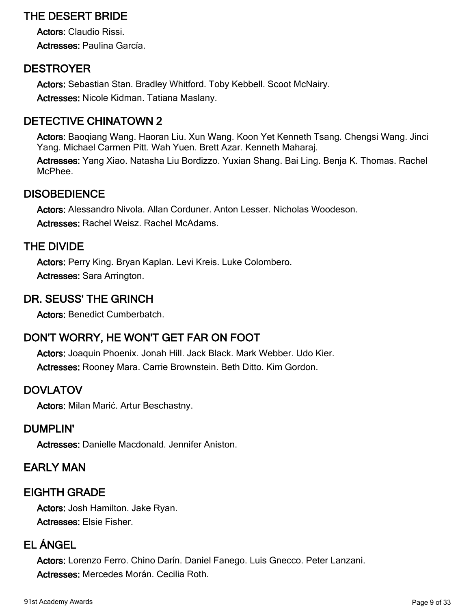# THE DESERT BRIDE

Actors: Claudio Rissi. Actresses: Paulina García.

# **DESTROYER**

Actors: Sebastian Stan. Bradley Whitford. Toby Kebbell. Scoot McNairy. Actresses: Nicole Kidman. Tatiana Maslany.

# DETECTIVE CHINATOWN 2

Actors: Baoqiang Wang. Haoran Liu. Xun Wang. Koon Yet Kenneth Tsang. Chengsi Wang. Jinci Yang. Michael Carmen Pitt. Wah Yuen. Brett Azar. Kenneth Maharaj.

Actresses: Yang Xiao. Natasha Liu Bordizzo. Yuxian Shang. Bai Ling. Benja K. Thomas. Rachel McPhee.

# **DISOBEDIENCE**

Actors: Alessandro Nivola. Allan Corduner. Anton Lesser. Nicholas Woodeson. Actresses: Rachel Weisz. Rachel McAdams.

### THE DIVIDE

Actors: Perry King. Bryan Kaplan. Levi Kreis. Luke Colombero. Actresses: Sara Arrington.

# DR. SEUSS' THE GRINCH

Actors: Benedict Cumberbatch.

# DON'T WORRY, HE WON'T GET FAR ON FOOT

Actors: Joaquin Phoenix. Jonah Hill. Jack Black. Mark Webber. Udo Kier. Actresses: Rooney Mara. Carrie Brownstein. Beth Ditto. Kim Gordon.

### DOVLATOV

Actors: Milan Marić. Artur Beschastny.

### DUMPLIN'

Actresses: Danielle Macdonald. Jennifer Aniston.

### EARLY MAN

### EIGHTH GRADE

Actors: Josh Hamilton. Jake Ryan. Actresses: Elsie Fisher.

# EL ÁNGEL

Actors: Lorenzo Ferro. Chino Darín. Daniel Fanego. Luis Gnecco. Peter Lanzani. Actresses: Mercedes Morán. Cecilia Roth.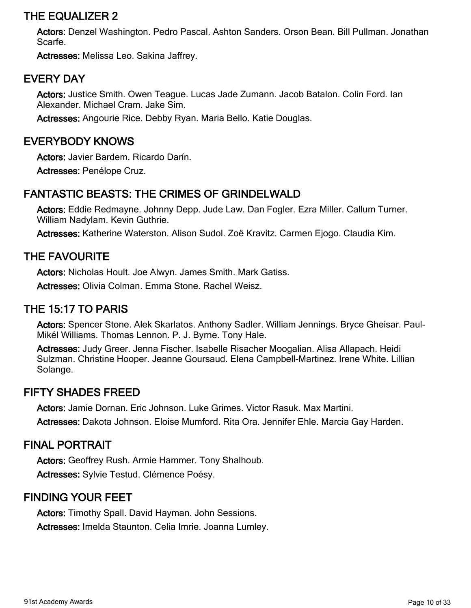## THE EQUALIZER 2

Actors: Denzel Washington. Pedro Pascal. Ashton Sanders. Orson Bean. Bill Pullman. Jonathan Scarfe.

Actresses: Melissa Leo. Sakina Jaffrey.

## EVERY DAY

Actors: Justice Smith. Owen Teague. Lucas Jade Zumann. Jacob Batalon. Colin Ford. Ian Alexander. Michael Cram. Jake Sim.

Actresses: Angourie Rice. Debby Ryan. Maria Bello. Katie Douglas.

#### EVERYBODY KNOWS

Actors: Javier Bardem. Ricardo Darín.

Actresses: Penélope Cruz.

# FANTASTIC BEASTS: THE CRIMES OF GRINDELWALD

Actors: Eddie Redmayne. Johnny Depp. Jude Law. Dan Fogler. Ezra Miller. Callum Turner. William Nadylam. Kevin Guthrie.

Actresses: Katherine Waterston. Alison Sudol. Zoë Kravitz. Carmen Ejogo. Claudia Kim.

### THE FAVOURITE

Actors: Nicholas Hoult. Joe Alwyn. James Smith. Mark Gatiss.

Actresses: Olivia Colman. Emma Stone. Rachel Weisz.

### THE 15:17 TO PARIS

Actors: Spencer Stone. Alek Skarlatos. Anthony Sadler. William Jennings. Bryce Gheisar. Paul-Mikél Williams. Thomas Lennon. P. J. Byrne. Tony Hale.

Actresses: Judy Greer. Jenna Fischer. Isabelle Risacher Moogalian. Alisa Allapach. Heidi Sulzman. Christine Hooper. Jeanne Goursaud. Elena Campbell-Martinez. Irene White. Lillian Solange.

### FIFTY SHADES FREED

Actors: Jamie Dornan. Eric Johnson. Luke Grimes. Victor Rasuk. Max Martini. Actresses: Dakota Johnson. Eloise Mumford. Rita Ora. Jennifer Ehle. Marcia Gay Harden.

### FINAL PORTRAIT

Actors: Geoffrey Rush. Armie Hammer. Tony Shalhoub. Actresses: Sylvie Testud. Clémence Poésy.

### FINDING YOUR FEET

Actors: Timothy Spall. David Hayman. John Sessions. Actresses: Imelda Staunton. Celia Imrie. Joanna Lumley.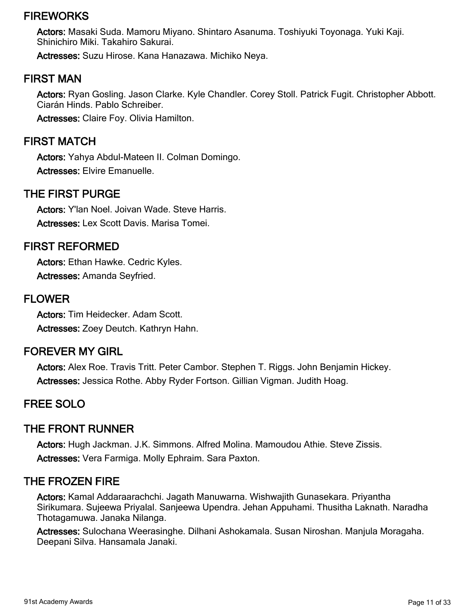### **FIREWORKS**

Actors: Masaki Suda. Mamoru Miyano. Shintaro Asanuma. Toshiyuki Toyonaga. Yuki Kaji. Shinichiro Miki. Takahiro Sakurai.

Actresses: Suzu Hirose. Kana Hanazawa. Michiko Neya.

#### FIRST MAN

Actors: Ryan Gosling. Jason Clarke. Kyle Chandler. Corey Stoll. Patrick Fugit. Christopher Abbott. Ciarán Hinds. Pablo Schreiber.

Actresses: Claire Foy. Olivia Hamilton.

#### FIRST MATCH

Actors: Yahya Abdul-Mateen II. Colman Domingo. Actresses: Elvire Emanuelle.

#### THE FIRST PURGE

Actors: Y'lan Noel. Joivan Wade. Steve Harris. Actresses: Lex Scott Davis. Marisa Tomei.

#### FIRST REFORMED

Actors: Ethan Hawke. Cedric Kyles. Actresses: Amanda Seyfried.

#### FLOWER

Actors: Tim Heidecker. Adam Scott. Actresses: Zoey Deutch. Kathryn Hahn.

### FOREVER MY GIRL

Actors: Alex Roe. Travis Tritt. Peter Cambor. Stephen T. Riggs. John Benjamin Hickey. Actresses: Jessica Rothe. Abby Ryder Fortson. Gillian Vigman. Judith Hoag.

#### FREE SOLO

#### THE FRONT RUNNER

Actors: Hugh Jackman. J.K. Simmons. Alfred Molina. Mamoudou Athie. Steve Zissis. Actresses: Vera Farmiga. Molly Ephraim. Sara Paxton.

#### THE FROZEN FIRE

Actors: Kamal Addaraarachchi. Jagath Manuwarna. Wishwajith Gunasekara. Priyantha Sirikumara. Sujeewa Priyalal. Sanjeewa Upendra. Jehan Appuhami. Thusitha Laknath. Naradha Thotagamuwa. Janaka Nilanga.

Actresses: Sulochana Weerasinghe. Dilhani Ashokamala. Susan Niroshan. Manjula Moragaha. Deepani Silva. Hansamala Janaki.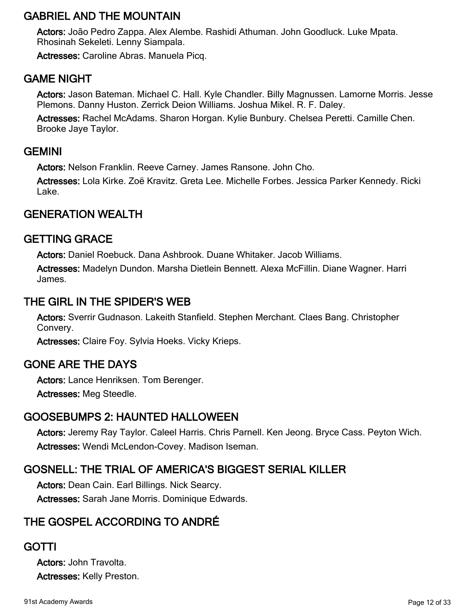# GABRIEL AND THE MOUNTAIN

Actors: João Pedro Zappa. Alex Alembe. Rashidi Athuman. John Goodluck. Luke Mpata. Rhosinah Sekeleti. Lenny Siampala.

Actresses: Caroline Abras. Manuela Picq.

# GAME NIGHT

Actors: Jason Bateman. Michael C. Hall. Kyle Chandler. Billy Magnussen. Lamorne Morris. Jesse Plemons. Danny Huston. Zerrick Deion Williams. Joshua Mikel. R. F. Daley.

Actresses: Rachel McAdams. Sharon Horgan. Kylie Bunbury. Chelsea Peretti. Camille Chen. Brooke Jaye Taylor.

### **GEMINI**

Actors: Nelson Franklin. Reeve Carney. James Ransone. John Cho.

Actresses: Lola Kirke. Zoë Kravitz. Greta Lee. Michelle Forbes. Jessica Parker Kennedy. Ricki Lake.

# GENERATION WEALTH

# GETTING GRACE

Actors: Daniel Roebuck. Dana Ashbrook. Duane Whitaker. Jacob Williams.

Actresses: Madelyn Dundon. Marsha Dietlein Bennett. Alexa McFillin. Diane Wagner. Harri James.

## THE GIRL IN THE SPIDER'S WEB

Actors: Sverrir Gudnason. Lakeith Stanfield. Stephen Merchant. Claes Bang. Christopher Convery.

Actresses: Claire Foy. Sylvia Hoeks. Vicky Krieps.

# GONE ARE THE DAYS

Actors: Lance Henriksen. Tom Berenger.

Actresses: Meg Steedle.

# GOOSEBUMPS 2: HAUNTED HALLOWEEN

Actors: Jeremy Ray Taylor. Caleel Harris. Chris Parnell. Ken Jeong. Bryce Cass. Peyton Wich. Actresses: Wendi McLendon-Covey. Madison Iseman.

# GOSNELL: THE TRIAL OF AMERICA'S BIGGEST SERIAL KILLER

Actors: Dean Cain. Earl Billings. Nick Searcy. Actresses: Sarah Jane Morris. Dominique Edwards.

# THE GOSPEL ACCORDING TO ANDRÉ

### GOTTI

Actors: John Travolta. Actresses: Kelly Preston.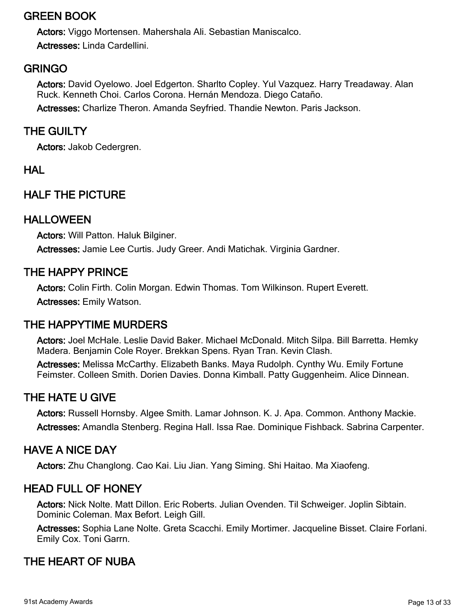# GREEN BOOK

Actors: Viggo Mortensen. Mahershala Ali. Sebastian Maniscalco. Actresses: Linda Cardellini.

# GRINGO

Actors: David Oyelowo. Joel Edgerton. Sharlto Copley. Yul Vazquez. Harry Treadaway. Alan Ruck. Kenneth Choi. Carlos Corona. Hernán Mendoza. Diego Cataño. Actresses: Charlize Theron. Amanda Seyfried. Thandie Newton. Paris Jackson.

# THE GUILTY

Actors: Jakob Cedergren.

# **HAL**

# HALF THE PICTURE

### HALLOWEEN

Actors: Will Patton. Haluk Bilginer. Actresses: Jamie Lee Curtis. Judy Greer. Andi Matichak. Virginia Gardner.

# THE HAPPY PRINCE

Actors: Colin Firth. Colin Morgan. Edwin Thomas. Tom Wilkinson. Rupert Everett.

Actresses: Emily Watson.

### THE HAPPYTIME MURDERS

Actors: Joel McHale. Leslie David Baker. Michael McDonald. Mitch Silpa. Bill Barretta. Hemky Madera. Benjamin Cole Royer. Brekkan Spens. Ryan Tran. Kevin Clash.

Actresses: Melissa McCarthy. Elizabeth Banks. Maya Rudolph. Cynthy Wu. Emily Fortune Feimster. Colleen Smith. Dorien Davies. Donna Kimball. Patty Guggenheim. Alice Dinnean.

# THE HATE U GIVE

Actors: Russell Hornsby. Algee Smith. Lamar Johnson. K. J. Apa. Common. Anthony Mackie. Actresses: Amandla Stenberg. Regina Hall. Issa Rae. Dominique Fishback. Sabrina Carpenter.

### HAVE A NICE DAY

Actors: Zhu Changlong. Cao Kai. Liu Jian. Yang Siming. Shi Haitao. Ma Xiaofeng.

# HEAD FULL OF HONEY

Actors: Nick Nolte. Matt Dillon. Eric Roberts. Julian Ovenden. Til Schweiger. Joplin Sibtain. Dominic Coleman. Max Befort. Leigh Gill.

Actresses: Sophia Lane Nolte. Greta Scacchi. Emily Mortimer. Jacqueline Bisset. Claire Forlani. Emily Cox. Toni Garrn.

# THE HEART OF NUBA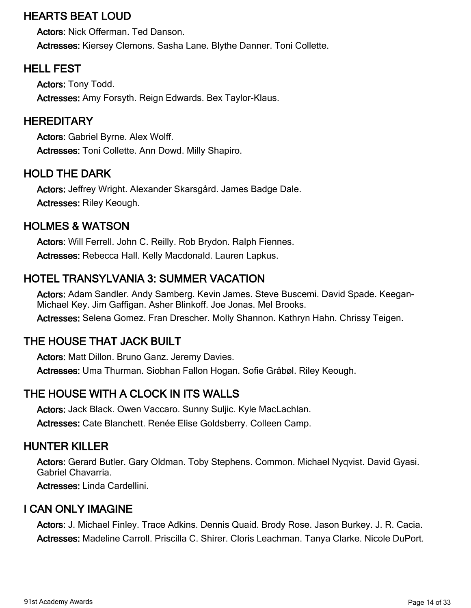# HEARTS BEAT LOUD

Actors: Nick Offerman. Ted Danson. Actresses: Kiersey Clemons. Sasha Lane. Blythe Danner. Toni Collette.

# HELL FEST

Actors: Tony Todd. Actresses: Amy Forsyth. Reign Edwards. Bex Taylor-Klaus.

## **HEREDITARY**

Actors: Gabriel Byrne. Alex Wolff. Actresses: Toni Collette. Ann Dowd. Milly Shapiro.

# HOLD THE DARK

Actors: Jeffrey Wright. Alexander Skarsgård. James Badge Dale. Actresses: Riley Keough.

# HOLMES & WATSON

Actors: Will Ferrell. John C. Reilly. Rob Brydon. Ralph Fiennes. Actresses: Rebecca Hall. Kelly Macdonald. Lauren Lapkus.

# HOTEL TRANSYLVANIA 3: SUMMER VACATION

Actors: Adam Sandler. Andy Samberg. Kevin James. Steve Buscemi. David Spade. Keegan-Michael Key. Jim Gaffigan. Asher Blinkoff. Joe Jonas. Mel Brooks. Actresses: Selena Gomez. Fran Drescher. Molly Shannon. Kathryn Hahn. Chrissy Teigen.

# THE HOUSE THAT JACK BUILT

Actors: Matt Dillon. Bruno Ganz. Jeremy Davies. Actresses: Uma Thurman. Siobhan Fallon Hogan. Sofie Gråbøl. Riley Keough.

# THE HOUSE WITH A CLOCK IN ITS WALLS

Actors: Jack Black. Owen Vaccaro. Sunny Suljic. Kyle MacLachlan. Actresses: Cate Blanchett. Renée Elise Goldsberry. Colleen Camp.

## HUNTER KILLER

Actors: Gerard Butler. Gary Oldman. Toby Stephens. Common. Michael Nyqvist. David Gyasi. Gabriel Chavarria.

Actresses: Linda Cardellini.

### I CAN ONLY IMAGINE

Actors: J. Michael Finley. Trace Adkins. Dennis Quaid. Brody Rose. Jason Burkey. J. R. Cacia. Actresses: Madeline Carroll. Priscilla C. Shirer. Cloris Leachman. Tanya Clarke. Nicole DuPort.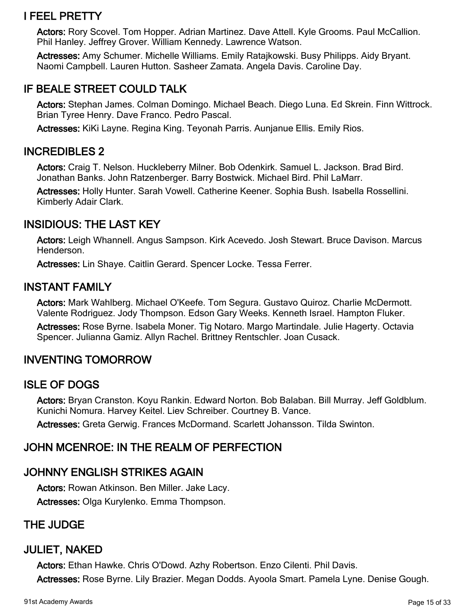# I FEEL PRETTY

Actors: Rory Scovel. Tom Hopper. Adrian Martinez. Dave Attell. Kyle Grooms. Paul McCallion. Phil Hanley. Jeffrey Grover. William Kennedy. Lawrence Watson.

Actresses: Amy Schumer. Michelle Williams. Emily Ratajkowski. Busy Philipps. Aidy Bryant. Naomi Campbell. Lauren Hutton. Sasheer Zamata. Angela Davis. Caroline Day.

# IF BEALE STREET COULD TALK

Actors: Stephan James. Colman Domingo. Michael Beach. Diego Luna. Ed Skrein. Finn Wittrock. Brian Tyree Henry. Dave Franco. Pedro Pascal.

Actresses: KiKi Layne. Regina King. Teyonah Parris. Aunjanue Ellis. Emily Rios.

### INCREDIBLES 2

Actors: Craig T. Nelson. Huckleberry Milner. Bob Odenkirk. Samuel L. Jackson. Brad Bird. Jonathan Banks. John Ratzenberger. Barry Bostwick. Michael Bird. Phil LaMarr.

Actresses: Holly Hunter. Sarah Vowell. Catherine Keener. Sophia Bush. Isabella Rossellini. Kimberly Adair Clark.

# INSIDIOUS: THE LAST KEY

Actors: Leigh Whannell. Angus Sampson. Kirk Acevedo. Josh Stewart. Bruce Davison. Marcus Henderson.

Actresses: Lin Shaye. Caitlin Gerard. Spencer Locke. Tessa Ferrer.

### INSTANT FAMILY

Actors: Mark Wahlberg. Michael O'Keefe. Tom Segura. Gustavo Quiroz. Charlie McDermott. Valente Rodriguez. Jody Thompson. Edson Gary Weeks. Kenneth Israel. Hampton Fluker.

Actresses: Rose Byrne. Isabela Moner. Tig Notaro. Margo Martindale. Julie Hagerty. Octavia Spencer. Julianna Gamiz. Allyn Rachel. Brittney Rentschler. Joan Cusack.

# INVENTING TOMORROW

# ISLE OF DOGS

Actors: Bryan Cranston. Koyu Rankin. Edward Norton. Bob Balaban. Bill Murray. Jeff Goldblum. Kunichi Nomura. Harvey Keitel. Liev Schreiber. Courtney B. Vance.

Actresses: Greta Gerwig. Frances McDormand. Scarlett Johansson. Tilda Swinton.

# JOHN MCENROE: IN THE REALM OF PERFECTION

# JOHNNY ENGLISH STRIKES AGAIN

Actors: Rowan Atkinson. Ben Miller. Jake Lacy. Actresses: Olga Kurylenko. Emma Thompson.

# THE JUDGE

# JULIET, NAKED

Actors: Ethan Hawke. Chris O'Dowd. Azhy Robertson. Enzo Cilenti. Phil Davis. Actresses: Rose Byrne. Lily Brazier. Megan Dodds. Ayoola Smart. Pamela Lyne. Denise Gough.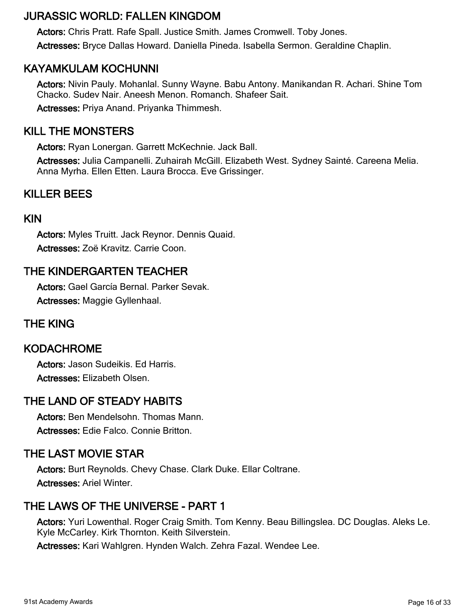# JURASSIC WORLD: FALLEN KINGDOM

Actors: Chris Pratt. Rafe Spall. Justice Smith. James Cromwell. Toby Jones. Actresses: Bryce Dallas Howard. Daniella Pineda. Isabella Sermon. Geraldine Chaplin.

# KAYAMKULAM KOCHUNNI

Actors: Nivin Pauly. Mohanlal. Sunny Wayne. Babu Antony. Manikandan R. Achari. Shine Tom Chacko. Sudev Nair. Aneesh Menon. Romanch. Shafeer Sait. Actresses: Priya Anand. Priyanka Thimmesh.

# KILL THE MONSTERS

Actors: Ryan Lonergan. Garrett McKechnie. Jack Ball.

Actresses: Julia Campanelli. Zuhairah McGill. Elizabeth West. Sydney Sainté. Careena Melia. Anna Myrha. Ellen Etten. Laura Brocca. Eve Grissinger.

# KILLER BEES

#### KIN

Actors: Myles Truitt. Jack Reynor. Dennis Quaid. Actresses: Zoë Kravitz. Carrie Coon.

# THE KINDERGARTEN TEACHER

Actors: Gael García Bernal. Parker Sevak. Actresses: Maggie Gyllenhaal.

# THE KING

### KODACHROME

Actors: Jason Sudeikis. Ed Harris. Actresses: Elizabeth Olsen.

### THE LAND OF STEADY HABITS

Actors: Ben Mendelsohn. Thomas Mann. Actresses: Edie Falco. Connie Britton.

### THE LAST MOVIE STAR

Actors: Burt Reynolds. Chevy Chase. Clark Duke. Ellar Coltrane. Actresses: Ariel Winter.

# THE LAWS OF THE UNIVERSE - PART 1

Actors: Yuri Lowenthal. Roger Craig Smith. Tom Kenny. Beau Billingslea. DC Douglas. Aleks Le. Kyle McCarley. Kirk Thornton. Keith Silverstein.

Actresses: Kari Wahlgren. Hynden Walch. Zehra Fazal. Wendee Lee.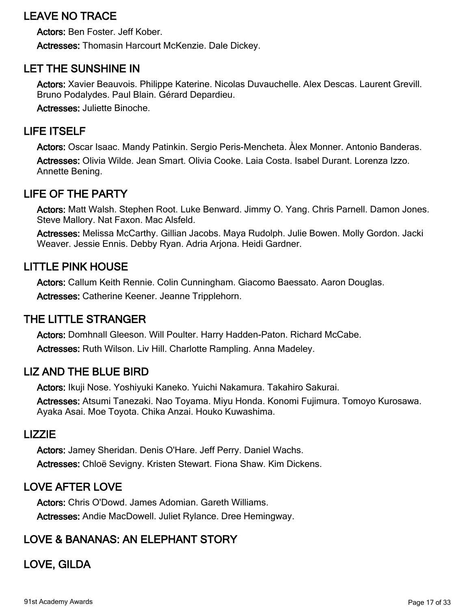# LEAVE NO TRACE

Actors: Ben Foster. Jeff Kober. Actresses: Thomasin Harcourt McKenzie. Dale Dickey.

# LET THE SUNSHINE IN

Actors: Xavier Beauvois. Philippe Katerine. Nicolas Duvauchelle. Alex Descas. Laurent Grevill. Bruno Podalydes. Paul Blain. Gérard Depardieu.

Actresses: Juliette Binoche.

## LIFE ITSELF

Actors: Oscar Isaac. Mandy Patinkin. Sergio Peris-Mencheta. Àlex Monner. Antonio Banderas. Actresses: Olivia Wilde. Jean Smart. Olivia Cooke. Laia Costa. Isabel Durant. Lorenza Izzo. Annette Bening.

# LIFE OF THE PARTY

Actors: Matt Walsh. Stephen Root. Luke Benward. Jimmy O. Yang. Chris Parnell. Damon Jones. Steve Mallory. Nat Faxon. Mac Alsfeld.

Actresses: Melissa McCarthy. Gillian Jacobs. Maya Rudolph. Julie Bowen. Molly Gordon. Jacki Weaver. Jessie Ennis. Debby Ryan. Adria Arjona. Heidi Gardner.

### LITTLE PINK HOUSE

Actors: Callum Keith Rennie. Colin Cunningham. Giacomo Baessato. Aaron Douglas. Actresses: Catherine Keener. Jeanne Tripplehorn.

### THE LITTLE STRANGER

Actors: Domhnall Gleeson. Will Poulter. Harry Hadden-Paton. Richard McCabe. Actresses: Ruth Wilson. Liv Hill. Charlotte Rampling. Anna Madeley.

### LIZ AND THE BLUE BIRD

Actors: Ikuji Nose. Yoshiyuki Kaneko. Yuichi Nakamura. Takahiro Sakurai.

Actresses: Atsumi Tanezaki. Nao Toyama. Miyu Honda. Konomi Fujimura. Tomoyo Kurosawa. Ayaka Asai. Moe Toyota. Chika Anzai. Houko Kuwashima.

#### LIZZIE

Actors: Jamey Sheridan. Denis O'Hare. Jeff Perry. Daniel Wachs. Actresses: Chloë Sevigny. Kristen Stewart. Fiona Shaw. Kim Dickens.

# LOVE AFTER LOVE

Actors: Chris O'Dowd. James Adomian. Gareth Williams. Actresses: Andie MacDowell. Juliet Rylance. Dree Hemingway.

# LOVE & BANANAS: AN ELEPHANT STORY

LOVE, GILDA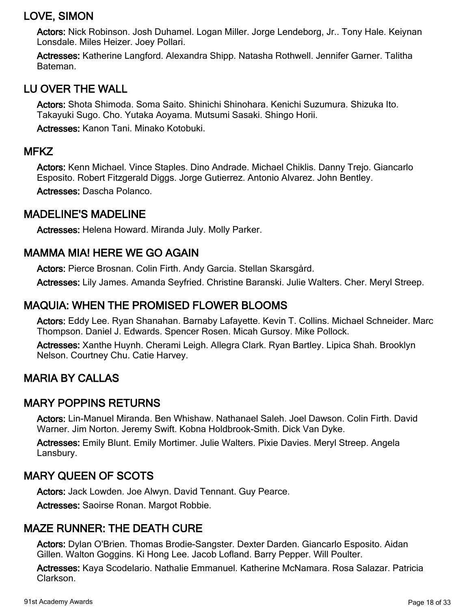# LOVE, SIMON

Actors: Nick Robinson. Josh Duhamel. Logan Miller. Jorge Lendeborg, Jr.. Tony Hale. Keiynan Lonsdale. Miles Heizer. Joey Pollari.

Actresses: Katherine Langford. Alexandra Shipp. Natasha Rothwell. Jennifer Garner. Talitha Bateman.

# LU OVER THE WALL

Actors: Shota Shimoda. Soma Saito. Shinichi Shinohara. Kenichi Suzumura. Shizuka Ito. Takayuki Sugo. Cho. Yutaka Aoyama. Mutsumi Sasaki. Shingo Horii.

Actresses: Kanon Tani. Minako Kotobuki.

#### **MFKZ**

Actors: Kenn Michael. Vince Staples. Dino Andrade. Michael Chiklis. Danny Trejo. Giancarlo Esposito. Robert Fitzgerald Diggs. Jorge Gutierrez. Antonio Alvarez. John Bentley.

Actresses: Dascha Polanco.

### MADELINE'S MADELINE

Actresses: Helena Howard. Miranda July. Molly Parker.

# MAMMA MIA! HERE WE GO AGAIN

Actors: Pierce Brosnan. Colin Firth. Andy Garcia. Stellan Skarsgård.

Actresses: Lily James. Amanda Seyfried. Christine Baranski. Julie Walters. Cher. Meryl Streep.

# MAQUIA: WHEN THE PROMISED FLOWER BLOOMS

Actors: Eddy Lee. Ryan Shanahan. Barnaby Lafayette. Kevin T. Collins. Michael Schneider. Marc Thompson. Daniel J. Edwards. Spencer Rosen. Micah Gursoy. Mike Pollock.

Actresses: Xanthe Huynh. Cherami Leigh. Allegra Clark. Ryan Bartley. Lipica Shah. Brooklyn Nelson. Courtney Chu. Catie Harvey.

# MARIA BY CALLAS

### MARY POPPINS RETURNS

Actors: Lin-Manuel Miranda. Ben Whishaw. Nathanael Saleh. Joel Dawson. Colin Firth. David Warner. Jim Norton. Jeremy Swift. Kobna Holdbrook-Smith. Dick Van Dyke.

Actresses: Emily Blunt. Emily Mortimer. Julie Walters. Pixie Davies. Meryl Streep. Angela Lansbury.

### MARY QUEEN OF SCOTS

Actors: Jack Lowden. Joe Alwyn. David Tennant. Guy Pearce.

Actresses: Saoirse Ronan. Margot Robbie.

# MAZE RUNNER: THE DEATH CURE

Actors: Dylan O'Brien. Thomas Brodie-Sangster. Dexter Darden. Giancarlo Esposito. Aidan Gillen. Walton Goggins. Ki Hong Lee. Jacob Lofland. Barry Pepper. Will Poulter.

Actresses: Kaya Scodelario. Nathalie Emmanuel. Katherine McNamara. Rosa Salazar. Patricia Clarkson.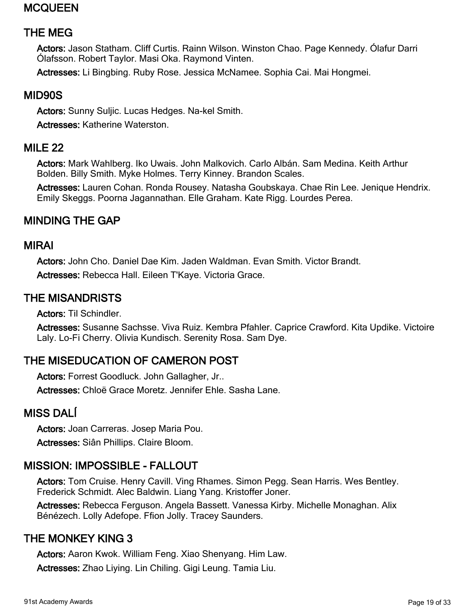# MCQUEEN

# THE MEG

Actors: Jason Statham. Cliff Curtis. Rainn Wilson. Winston Chao. Page Kennedy. Ólafur Darri Ólafsson. Robert Taylor. Masi Oka. Raymond Vinten.

Actresses: Li Bingbing. Ruby Rose. Jessica McNamee. Sophia Cai. Mai Hongmei.

#### MID90S

Actors: Sunny Suljic. Lucas Hedges. Na-kel Smith.

Actresses: Katherine Waterston.

## MILE 22

Actors: Mark Wahlberg. Iko Uwais. John Malkovich. Carlo Albán. Sam Medina. Keith Arthur Bolden. Billy Smith. Myke Holmes. Terry Kinney. Brandon Scales.

Actresses: Lauren Cohan. Ronda Rousey. Natasha Goubskaya. Chae Rin Lee. Jenique Hendrix. Emily Skeggs. Poorna Jagannathan. Elle Graham. Kate Rigg. Lourdes Perea.

# MINDING THE GAP

#### MIRAI

Actors: John Cho. Daniel Dae Kim. Jaden Waldman. Evan Smith. Victor Brandt. Actresses: Rebecca Hall. Eileen T'Kaye. Victoria Grace.

#### THE MISANDRISTS

Actors: Til Schindler.

Actresses: Susanne Sachsse. Viva Ruiz. Kembra Pfahler. Caprice Crawford. Kita Updike. Victoire Laly. Lo-Fi Cherry. Olivia Kundisch. Serenity Rosa. Sam Dye.

# THE MISEDUCATION OF CAMERON POST

Actors: Forrest Goodluck. John Gallagher, Jr..

Actresses: Chloë Grace Moretz. Jennifer Ehle. Sasha Lane.

### MISS DALÍ

Actors: Joan Carreras. Josep Maria Pou.

Actresses: Siân Phillips. Claire Bloom.

### MISSION: IMPOSSIBLE - FALLOUT

Actors: Tom Cruise. Henry Cavill. Ving Rhames. Simon Pegg. Sean Harris. Wes Bentley. Frederick Schmidt. Alec Baldwin. Liang Yang. Kristoffer Joner.

Actresses: Rebecca Ferguson. Angela Bassett. Vanessa Kirby. Michelle Monaghan. Alix Bénézech. Lolly Adefope. Ffion Jolly. Tracey Saunders.

### THE MONKEY KING 3

Actors: Aaron Kwok. William Feng. Xiao Shenyang. Him Law.

Actresses: Zhao Liying. Lin Chiling. Gigi Leung. Tamia Liu.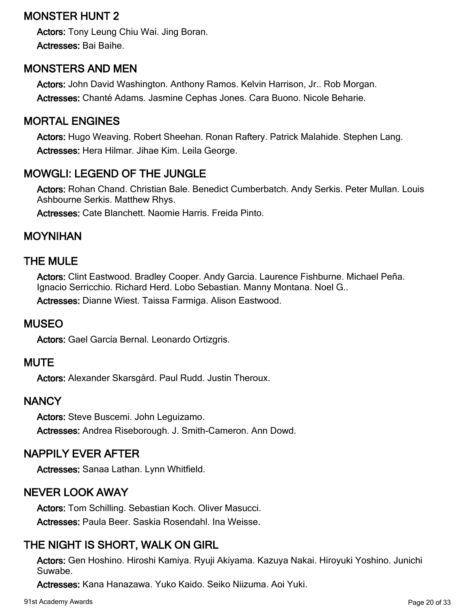# MONSTER HUNT 2

Actors: Tony Leung Chiu Wai. Jing Boran. Actresses: Bai Baihe.

# MONSTERS AND MEN

Actors: John David Washington. Anthony Ramos. Kelvin Harrison, Jr.. Rob Morgan. Actresses: Chanté Adams. Jasmine Cephas Jones. Cara Buono. Nicole Beharie.

## MORTAL ENGINES

Actors: Hugo Weaving. Robert Sheehan. Ronan Raftery. Patrick Malahide. Stephen Lang. Actresses: Hera Hilmar. Jihae Kim. Leila George.

# MOWGLI: LEGEND OF THE JUNGLE

Actors: Rohan Chand. Christian Bale. Benedict Cumberbatch. Andy Serkis. Peter Mullan. Louis Ashbourne Serkis. Matthew Rhys.

Actresses: Cate Blanchett. Naomie Harris. Freida Pinto.

### MOYNIHAN

### THE MULE

Actors: Clint Eastwood. Bradley Cooper. Andy Garcia. Laurence Fishburne. Michael Peña. Ignacio Serricchio. Richard Herd. Lobo Sebastian. Manny Montana. Noel G..

Actresses: Dianne Wiest. Taissa Farmiga. Alison Eastwood.

### MUSEO

Actors: Gael García Bernal. Leonardo Ortizgris.

#### **MUTE**

Actors: Alexander Skarsgård. Paul Rudd. Justin Theroux.

### **NANCY**

Actors: Steve Buscemi. John Leguizamo. Actresses: Andrea Riseborough. J. Smith-Cameron. Ann Dowd.

### NAPPILY EVER AFTER

Actresses: Sanaa Lathan. Lynn Whitfield.

# NEVER LOOK AWAY

Actors: Tom Schilling. Sebastian Koch. Oliver Masucci. Actresses: Paula Beer. Saskia Rosendahl. Ina Weisse.

# THE NIGHT IS SHORT, WALK ON GIRL

Actors: Gen Hoshino. Hiroshi Kamiya. Ryuji Akiyama. Kazuya Nakai. Hiroyuki Yoshino. Junichi Suwabe.

Actresses: Kana Hanazawa. Yuko Kaido. Seiko Niizuma. Aoi Yuki.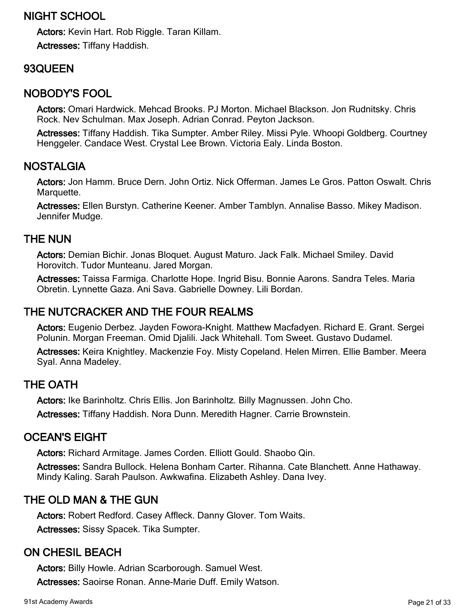# NIGHT SCHOOL

Actors: Kevin Hart. Rob Riggle. Taran Killam. Actresses: Tiffany Haddish.

# 93QUEEN

## NOBODY'S FOOL

Actors: Omari Hardwick. Mehcad Brooks. PJ Morton. Michael Blackson. Jon Rudnitsky. Chris Rock. Nev Schulman. Max Joseph. Adrian Conrad. Peyton Jackson.

Actresses: Tiffany Haddish. Tika Sumpter. Amber Riley. Missi Pyle. Whoopi Goldberg. Courtney Henggeler. Candace West. Crystal Lee Brown. Victoria Ealy. Linda Boston.

### NOSTALGIA

Actors: Jon Hamm. Bruce Dern. John Ortiz. Nick Offerman. James Le Gros. Patton Oswalt. Chris Marquette.

Actresses: Ellen Burstyn. Catherine Keener. Amber Tamblyn. Annalise Basso. Mikey Madison. Jennifer Mudge.

# THE NUN

Actors: Demian Bichir. Jonas Bloquet. August Maturo. Jack Falk. Michael Smiley. David Horovitch. Tudor Munteanu. Jared Morgan.

Actresses: Taissa Farmiga. Charlotte Hope. Ingrid Bisu. Bonnie Aarons. Sandra Teles. Maria Obretin. Lynnette Gaza. Ani Sava. Gabrielle Downey. Lili Bordan.

# THE NUTCRACKER AND THE FOUR REALMS

Actors: Eugenio Derbez. Jayden Fowora-Knight. Matthew Macfadyen. Richard E. Grant. Sergei Polunin. Morgan Freeman. Omid Djalili. Jack Whitehall. Tom Sweet. Gustavo Dudamel.

Actresses: Keira Knightley. Mackenzie Foy. Misty Copeland. Helen Mirren. Ellie Bamber. Meera Syal. Anna Madeley.

### THE OATH

Actors: Ike Barinholtz. Chris Ellis. Jon Barinholtz. Billy Magnussen. John Cho.

Actresses: Tiffany Haddish. Nora Dunn. Meredith Hagner. Carrie Brownstein.

### OCEAN'S EIGHT

Actors: Richard Armitage. James Corden. Elliott Gould. Shaobo Qin.

Actresses: Sandra Bullock. Helena Bonham Carter. Rihanna. Cate Blanchett. Anne Hathaway. Mindy Kaling. Sarah Paulson. Awkwafina. Elizabeth Ashley. Dana Ivey.

# THE OLD MAN & THE GUN

Actors: Robert Redford. Casey Affleck. Danny Glover. Tom Waits. Actresses: Sissy Spacek. Tika Sumpter.

# ON CHESIL BEACH

Actors: Billy Howle. Adrian Scarborough. Samuel West. Actresses: Saoirse Ronan. Anne-Marie Duff. Emily Watson.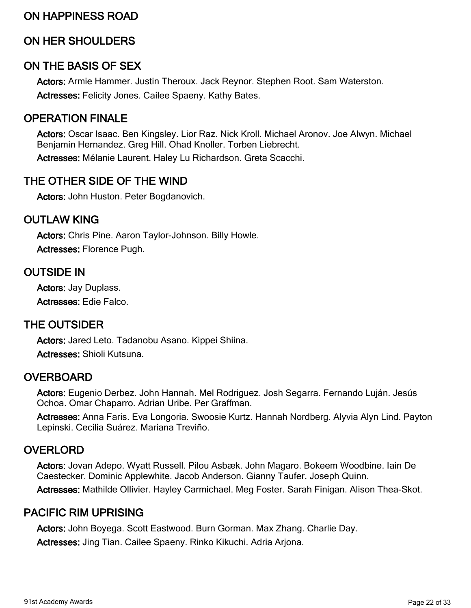### ON HAPPINESS ROAD

## ON HER SHOULDERS

#### ON THE BASIS OF SEX

Actors: Armie Hammer. Justin Theroux. Jack Reynor. Stephen Root. Sam Waterston. Actresses: Felicity Jones. Cailee Spaeny. Kathy Bates.

### OPERATION FINALE

Actors: Oscar Isaac. Ben Kingsley. Lior Raz. Nick Kroll. Michael Aronov. Joe Alwyn. Michael Benjamin Hernandez. Greg Hill. Ohad Knoller. Torben Liebrecht.

Actresses: Mélanie Laurent. Haley Lu Richardson. Greta Scacchi.

#### THE OTHER SIDE OF THE WIND

Actors: John Huston. Peter Bogdanovich.

#### OUTLAW KING

Actors: Chris Pine. Aaron Taylor-Johnson. Billy Howle. Actresses: Florence Pugh.

#### OUTSIDE IN

Actors: Jay Duplass. Actresses: Edie Falco.

#### THE OUTSIDER

Actors: Jared Leto. Tadanobu Asano. Kippei Shiina. Actresses: Shioli Kutsuna.

#### **OVERBOARD**

Actors: Eugenio Derbez. John Hannah. Mel Rodriguez. Josh Segarra. Fernando Luján. Jesús Ochoa. Omar Chaparro. Adrian Uribe. Per Graffman.

Actresses: Anna Faris. Eva Longoria. Swoosie Kurtz. Hannah Nordberg. Alyvia Alyn Lind. Payton Lepinski. Cecilia Suárez. Mariana Treviño.

#### OVERLORD

Actors: Jovan Adepo. Wyatt Russell. Pilou Asbæk. John Magaro. Bokeem Woodbine. Iain De Caestecker. Dominic Applewhite. Jacob Anderson. Gianny Taufer. Joseph Quinn.

Actresses: Mathilde Ollivier. Hayley Carmichael. Meg Foster. Sarah Finigan. Alison Thea-Skot.

#### PACIFIC RIM UPRISING

Actors: John Boyega. Scott Eastwood. Burn Gorman. Max Zhang. Charlie Day.

Actresses: Jing Tian. Cailee Spaeny. Rinko Kikuchi. Adria Arjona.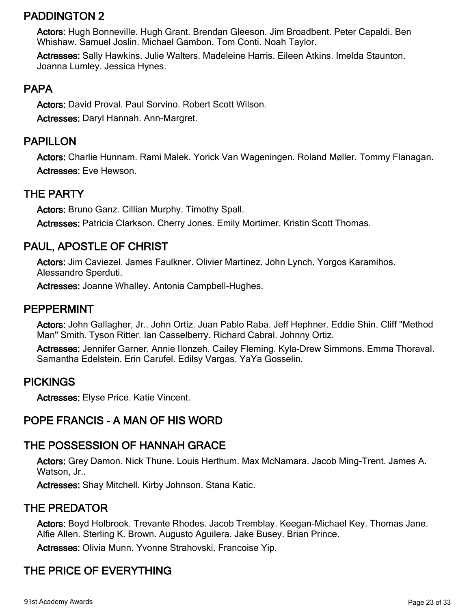# PADDINGTON 2

Actors: Hugh Bonneville. Hugh Grant. Brendan Gleeson. Jim Broadbent. Peter Capaldi. Ben Whishaw. Samuel Joslin. Michael Gambon. Tom Conti. Noah Taylor.

Actresses: Sally Hawkins. Julie Walters. Madeleine Harris. Eileen Atkins. Imelda Staunton. Joanna Lumley. Jessica Hynes.

# PAPA

Actors: David Proval. Paul Sorvino. Robert Scott Wilson. Actresses: Daryl Hannah. Ann-Margret.

# PAPILLON

Actors: Charlie Hunnam. Rami Malek. Yorick Van Wageningen. Roland Møller. Tommy Flanagan. Actresses: Eve Hewson.

# THE PARTY

Actors: Bruno Ganz. Cillian Murphy. Timothy Spall.

Actresses: Patricia Clarkson. Cherry Jones. Emily Mortimer. Kristin Scott Thomas.

# PAUL, APOSTLE OF CHRIST

Actors: Jim Caviezel. James Faulkner. Olivier Martinez. John Lynch. Yorgos Karamihos. Alessandro Sperduti.

Actresses: Joanne Whalley. Antonia Campbell-Hughes.

#### PEPPERMINT

Actors: John Gallagher, Jr.. John Ortiz. Juan Pablo Raba. Jeff Hephner. Eddie Shin. Cliff "Method Man" Smith. Tyson Ritter. Ian Casselberry. Richard Cabral. Johnny Ortiz.

Actresses: Jennifer Garner. Annie Ilonzeh. Cailey Fleming. Kyla-Drew Simmons. Emma Thoraval. Samantha Edelstein. Erin Carufel. Edilsy Vargas. YaYa Gosselin.

### PICKINGS

Actresses: Elyse Price. Katie Vincent.

# POPE FRANCIS - A MAN OF HIS WORD

### THE POSSESSION OF HANNAH GRACE

Actors: Grey Damon. Nick Thune. Louis Herthum. Max McNamara. Jacob Ming-Trent. James A. Watson, Jr..

Actresses: Shay Mitchell. Kirby Johnson. Stana Katic.

### THE PREDATOR

Actors: Boyd Holbrook. Trevante Rhodes. Jacob Tremblay. Keegan-Michael Key. Thomas Jane. Alfie Allen. Sterling K. Brown. Augusto Aguilera. Jake Busey. Brian Prince.

Actresses: Olivia Munn. Yvonne Strahovski. Francoise Yip.

# THE PRICE OF EVERYTHING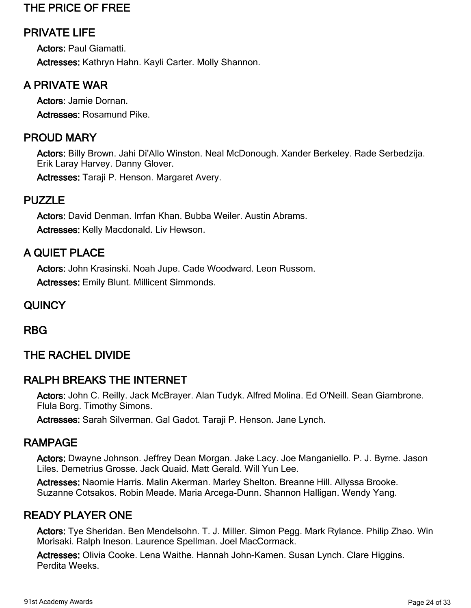# THE PRICE OF FREE

# PRIVATE LIFE

Actors: Paul Giamatti. Actresses: Kathryn Hahn. Kayli Carter. Molly Shannon.

# A PRIVATE WAR

Actors: Jamie Dornan. Actresses: Rosamund Pike.

## PROUD MARY

Actors: Billy Brown. Jahi Di'Allo Winston. Neal McDonough. Xander Berkeley. Rade Serbedzija. Erik Laray Harvey. Danny Glover.

Actresses: Taraji P. Henson. Margaret Avery.

#### PUZZLE

Actors: David Denman. Irrfan Khan. Bubba Weiler. Austin Abrams. Actresses: Kelly Macdonald. Liv Hewson.

# A QUIET PLACE

Actors: John Krasinski. Noah Jupe. Cade Woodward. Leon Russom. Actresses: Emily Blunt. Millicent Simmonds.

#### **QUINCY**

RBG

### THE RACHEL DIVIDE

### RALPH BREAKS THE INTERNET

Actors: John C. Reilly. Jack McBrayer. Alan Tudyk. Alfred Molina. Ed O'Neill. Sean Giambrone. Flula Borg. Timothy Simons.

Actresses: Sarah Silverman. Gal Gadot. Taraji P. Henson. Jane Lynch.

### RAMPAGE

Actors: Dwayne Johnson. Jeffrey Dean Morgan. Jake Lacy. Joe Manganiello. P. J. Byrne. Jason Liles. Demetrius Grosse. Jack Quaid. Matt Gerald. Will Yun Lee.

Actresses: Naomie Harris. Malin Akerman. Marley Shelton. Breanne Hill. Allyssa Brooke. Suzanne Cotsakos. Robin Meade. Maria Arcega-Dunn. Shannon Halligan. Wendy Yang.

### READY PLAYER ONE

Actors: Tye Sheridan. Ben Mendelsohn. T. J. Miller. Simon Pegg. Mark Rylance. Philip Zhao. Win Morisaki. Ralph Ineson. Laurence Spellman. Joel MacCormack.

Actresses: Olivia Cooke. Lena Waithe. Hannah John-Kamen. Susan Lynch. Clare Higgins. Perdita Weeks.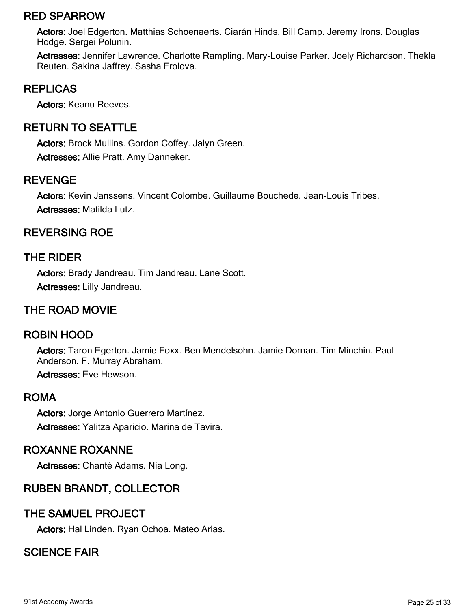## RED SPARROW

Actors: Joel Edgerton. Matthias Schoenaerts. Ciarán Hinds. Bill Camp. Jeremy Irons. Douglas Hodge. Sergei Polunin.

Actresses: Jennifer Lawrence. Charlotte Rampling. Mary-Louise Parker. Joely Richardson. Thekla Reuten. Sakina Jaffrey. Sasha Frolova.

### REPLICAS

Actors: Keanu Reeves.

# RETURN TO SEATTLE

Actors: Brock Mullins. Gordon Coffey. Jalyn Green. Actresses: Allie Pratt. Amy Danneker.

#### REVENGE

Actors: Kevin Janssens. Vincent Colombe. Guillaume Bouchede. Jean-Louis Tribes. Actresses: Matilda Lutz.

# REVERSING ROE

#### THE RIDER

Actors: Brady Jandreau. Tim Jandreau. Lane Scott. Actresses: Lilly Jandreau.

## THE ROAD MOVIE

### ROBIN HOOD

Actors: Taron Egerton. Jamie Foxx. Ben Mendelsohn. Jamie Dornan. Tim Minchin. Paul Anderson. F. Murray Abraham.

Actresses: Eve Hewson.

#### ROMA

Actors: Jorge Antonio Guerrero Martínez. Actresses: Yalitza Aparicio. Marina de Tavira.

#### ROXANNE ROXANNE

Actresses: Chanté Adams. Nia Long.

# RUBEN BRANDT, COLLECTOR

### THE SAMUEL PROJECT

Actors: Hal Linden. Ryan Ochoa. Mateo Arias.

# SCIENCE FAIR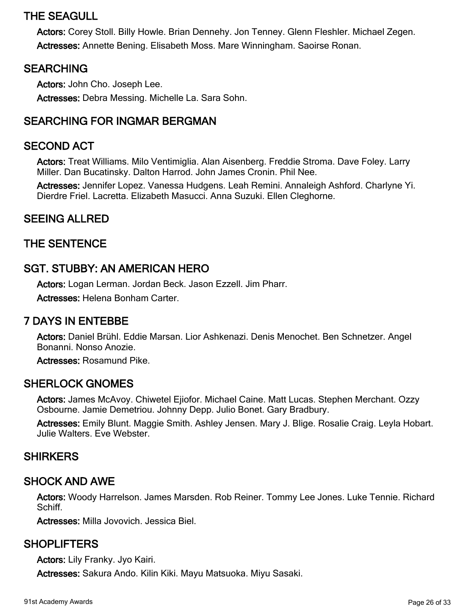# THE SEAGULL

Actors: Corey Stoll. Billy Howle. Brian Dennehy. Jon Tenney. Glenn Fleshler. Michael Zegen. Actresses: Annette Bening. Elisabeth Moss. Mare Winningham. Saoirse Ronan.

#### SEARCHING

Actors: John Cho. Joseph Lee. Actresses: Debra Messing. Michelle La. Sara Sohn.

# SEARCHING FOR INGMAR BERGMAN

#### SECOND ACT

Actors: Treat Williams. Milo Ventimiglia. Alan Aisenberg. Freddie Stroma. Dave Foley. Larry Miller. Dan Bucatinsky. Dalton Harrod. John James Cronin. Phil Nee.

Actresses: Jennifer Lopez. Vanessa Hudgens. Leah Remini. Annaleigh Ashford. Charlyne Yi. Dierdre Friel. Lacretta. Elizabeth Masucci. Anna Suzuki. Ellen Cleghorne.

#### SEEING ALLRED

#### THE SENTENCE

#### SGT. STUBBY: AN AMERICAN HERO

Actors: Logan Lerman. Jordan Beck. Jason Ezzell. Jim Pharr.

Actresses: Helena Bonham Carter.

#### 7 DAYS IN ENTEBBE

Actors: Daniel Brühl. Eddie Marsan. Lior Ashkenazi. Denis Menochet. Ben Schnetzer. Angel Bonanni. Nonso Anozie.

Actresses: Rosamund Pike.

#### SHERLOCK GNOMES

Actors: James McAvoy. Chiwetel Ejiofor. Michael Caine. Matt Lucas. Stephen Merchant. Ozzy Osbourne. Jamie Demetriou. Johnny Depp. Julio Bonet. Gary Bradbury.

Actresses: Emily Blunt. Maggie Smith. Ashley Jensen. Mary J. Blige. Rosalie Craig. Leyla Hobart. Julie Walters. Eve Webster.

#### **SHIRKERS**

#### SHOCK AND AWE

Actors: Woody Harrelson. James Marsden. Rob Reiner. Tommy Lee Jones. Luke Tennie. Richard Schiff.

Actresses: Milla Jovovich. Jessica Biel.

#### SHOPLIFTERS

Actors: Lily Franky. Jyo Kairi.

Actresses: Sakura Ando. Kilin Kiki. Mayu Matsuoka. Miyu Sasaki.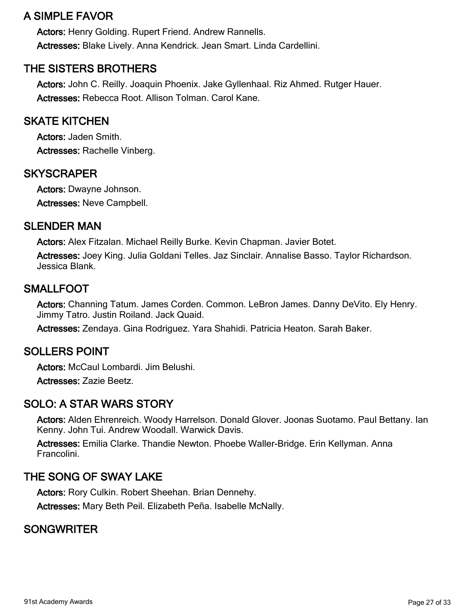# A SIMPLE FAVOR

Actors: Henry Golding. Rupert Friend. Andrew Rannells. Actresses: Blake Lively. Anna Kendrick. Jean Smart. Linda Cardellini.

# THE SISTERS BROTHERS

Actors: John C. Reilly. Joaquin Phoenix. Jake Gyllenhaal. Riz Ahmed. Rutger Hauer. Actresses: Rebecca Root. Allison Tolman. Carol Kane.

#### SKATE KITCHEN

Actors: Jaden Smith. Actresses: Rachelle Vinberg.

#### **SKYSCRAPER**

Actors: Dwayne Johnson. Actresses: Neve Campbell.

#### SLENDER MAN

Actors: Alex Fitzalan. Michael Reilly Burke. Kevin Chapman. Javier Botet.

Actresses: Joey King. Julia Goldani Telles. Jaz Sinclair. Annalise Basso. Taylor Richardson. Jessica Blank.

# SMALLFOOT

Actors: Channing Tatum. James Corden. Common. LeBron James. Danny DeVito. Ely Henry. Jimmy Tatro. Justin Roiland. Jack Quaid.

Actresses: Zendaya. Gina Rodriguez. Yara Shahidi. Patricia Heaton. Sarah Baker.

### SOLLERS POINT

Actors: McCaul Lombardi. Jim Belushi.

Actresses: Zazie Beetz.

### SOLO: A STAR WARS STORY

Actors: Alden Ehrenreich. Woody Harrelson. Donald Glover. Joonas Suotamo. Paul Bettany. Ian Kenny. John Tui. Andrew Woodall. Warwick Davis.

Actresses: Emilia Clarke. Thandie Newton. Phoebe Waller-Bridge. Erin Kellyman. Anna Francolini.

### THE SONG OF SWAY LAKE

Actors: Rory Culkin. Robert Sheehan. Brian Dennehy.

Actresses: Mary Beth Peil. Elizabeth Peña. Isabelle McNally.

# **SONGWRITER**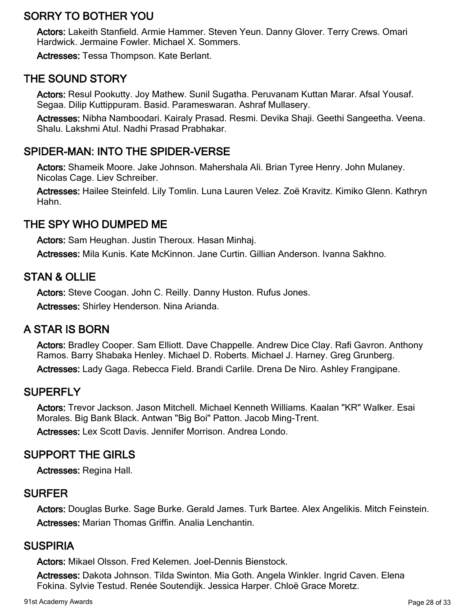# SORRY TO BOTHER YOU

Actors: Lakeith Stanfield. Armie Hammer. Steven Yeun. Danny Glover. Terry Crews. Omari Hardwick. Jermaine Fowler. Michael X. Sommers.

Actresses: Tessa Thompson. Kate Berlant.

# THE SOUND STORY

Actors: Resul Pookutty. Joy Mathew. Sunil Sugatha. Peruvanam Kuttan Marar. Afsal Yousaf. Segaa. Dilip Kuttippuram. Basid. Parameswaran. Ashraf Mullasery.

Actresses: Nibha Namboodari. Kairaly Prasad. Resmi. Devika Shaji. Geethi Sangeetha. Veena. Shalu. Lakshmi Atul. Nadhi Prasad Prabhakar.

### SPIDER-MAN: INTO THE SPIDER-VERSE

Actors: Shameik Moore. Jake Johnson. Mahershala Ali. Brian Tyree Henry. John Mulaney. Nicolas Cage. Liev Schreiber.

Actresses: Hailee Steinfeld. Lily Tomlin. Luna Lauren Velez. Zoë Kravitz. Kimiko Glenn. Kathryn Hahn.

# THE SPY WHO DUMPED ME

Actors: Sam Heughan. Justin Theroux. Hasan Minhaj.

Actresses: Mila Kunis. Kate McKinnon. Jane Curtin. Gillian Anderson. Ivanna Sakhno.

# STAN & OLLIE

Actors: Steve Coogan. John C. Reilly. Danny Huston. Rufus Jones. Actresses: Shirley Henderson. Nina Arianda.

### A STAR IS BORN

Actors: Bradley Cooper. Sam Elliott. Dave Chappelle. Andrew Dice Clay. Rafi Gavron. Anthony Ramos. Barry Shabaka Henley. Michael D. Roberts. Michael J. Harney. Greg Grunberg. Actresses: Lady Gaga. Rebecca Field. Brandi Carlile. Drena De Niro. Ashley Frangipane.

### **SUPERFLY**

Actors: Trevor Jackson. Jason Mitchell. Michael Kenneth Williams. Kaalan "KR" Walker. Esai Morales. Big Bank Black. Antwan "Big Boi" Patton. Jacob Ming-Trent.

Actresses: Lex Scott Davis. Jennifer Morrison. Andrea Londo.

### SUPPORT THE GIRLS

Actresses: Regina Hall.

#### SURFER

Actors: Douglas Burke. Sage Burke. Gerald James. Turk Bartee. Alex Angelikis. Mitch Feinstein. Actresses: Marian Thomas Griffin. Analia Lenchantin.

### SUSPIRIA

Actors: Mikael Olsson. Fred Kelemen. Joel-Dennis Bienstock.

Actresses: Dakota Johnson. Tilda Swinton. Mia Goth. Angela Winkler. Ingrid Caven. Elena Fokina. Sylvie Testud. Renée Soutendijk. Jessica Harper. Chloë Grace Moretz.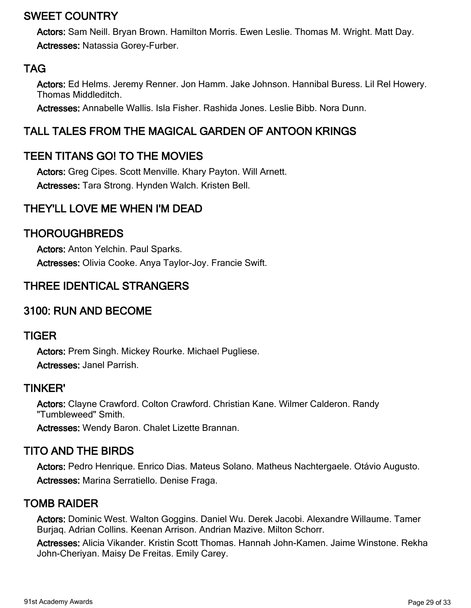# SWEET COUNTRY

Actors: Sam Neill. Bryan Brown. Hamilton Morris. Ewen Leslie. Thomas M. Wright. Matt Day. Actresses: Natassia Gorey-Furber.

# TAG

Actors: Ed Helms. Jeremy Renner. Jon Hamm. Jake Johnson. Hannibal Buress. Lil Rel Howery. Thomas Middleditch.

Actresses: Annabelle Wallis. Isla Fisher. Rashida Jones. Leslie Bibb. Nora Dunn.

# TALL TALES FROM THE MAGICAL GARDEN OF ANTOON KRINGS

# TEEN TITANS GO! TO THE MOVIES

Actors: Greg Cipes. Scott Menville. Khary Payton. Will Arnett. Actresses: Tara Strong. Hynden Walch. Kristen Bell.

# THEY'LL LOVE ME WHEN I'M DEAD

### THOROUGHBREDS

Actors: Anton Yelchin. Paul Sparks. Actresses: Olivia Cooke. Anya Taylor-Joy. Francie Swift.

# THREE IDENTICAL STRANGERS

### 3100: RUN AND BECOME

#### TIGER

Actors: Prem Singh. Mickey Rourke. Michael Pugliese. Actresses: Janel Parrish.

#### TINKER'

Actors: Clayne Crawford. Colton Crawford. Christian Kane. Wilmer Calderon. Randy "Tumbleweed" Smith.

Actresses: Wendy Baron. Chalet Lizette Brannan.

### TITO AND THE BIRDS

Actors: Pedro Henrique. Enrico Dias. Mateus Solano. Matheus Nachtergaele. Otávio Augusto. Actresses: Marina Serratiello. Denise Fraga.

### TOMB RAIDER

Actors: Dominic West. Walton Goggins. Daniel Wu. Derek Jacobi. Alexandre Willaume. Tamer Burjaq. Adrian Collins. Keenan Arrison. Andrian Mazive. Milton Schorr.

Actresses: Alicia Vikander. Kristin Scott Thomas. Hannah John-Kamen. Jaime Winstone. Rekha John-Cheriyan. Maisy De Freitas. Emily Carey.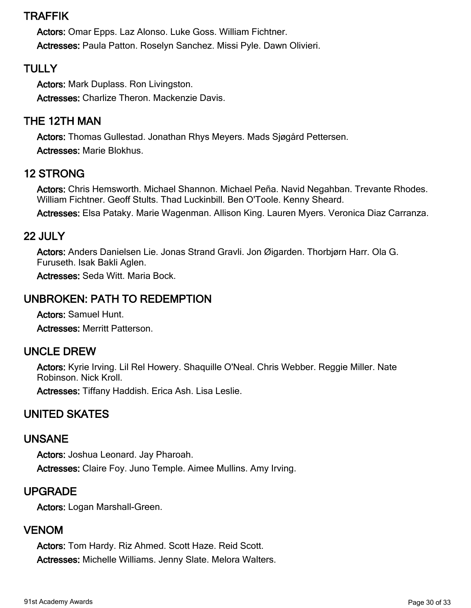# TRAFFIK

Actors: Omar Epps. Laz Alonso. Luke Goss. William Fichtner. Actresses: Paula Patton. Roselyn Sanchez. Missi Pyle. Dawn Olivieri.

# **TULLY**

Actors: Mark Duplass. Ron Livingston. Actresses: Charlize Theron. Mackenzie Davis.

# THE 12TH MAN

Actors: Thomas Gullestad. Jonathan Rhys Meyers. Mads Sjøgård Pettersen. Actresses: Marie Blokhus.

# 12 STRONG

Actors: Chris Hemsworth. Michael Shannon. Michael Peña. Navid Negahban. Trevante Rhodes. William Fichtner. Geoff Stults. Thad Luckinbill. Ben O'Toole. Kenny Sheard.

Actresses: Elsa Pataky. Marie Wagenman. Allison King. Lauren Myers. Veronica Diaz Carranza.

#### 22 JULY

Actors: Anders Danielsen Lie. Jonas Strand Gravli. Jon Øigarden. Thorbjørn Harr. Ola G. Furuseth. Isak Bakli Aglen.

Actresses: Seda Witt. Maria Bock.

# UNBROKEN: PATH TO REDEMPTION

Actors: Samuel Hunt. Actresses: Merritt Patterson.

#### UNCLE DREW

Actors: Kyrie Irving. Lil Rel Howery. Shaquille O'Neal. Chris Webber. Reggie Miller. Nate Robinson. Nick Kroll.

Actresses: Tiffany Haddish. Erica Ash. Lisa Leslie.

# UNITED SKATES

#### UNSANE

Actors: Joshua Leonard. Jay Pharoah. Actresses: Claire Foy. Juno Temple. Aimee Mullins. Amy Irving.

### UPGRADE

Actors: Logan Marshall-Green.

### VENOM

Actors: Tom Hardy. Riz Ahmed. Scott Haze. Reid Scott. Actresses: Michelle Williams. Jenny Slate. Melora Walters.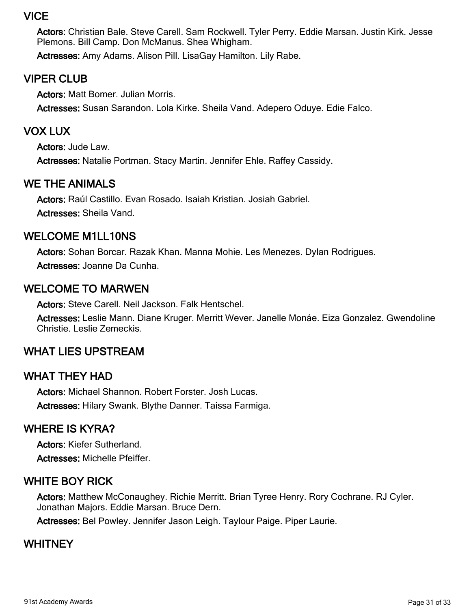# VICE

Actors: Christian Bale. Steve Carell. Sam Rockwell. Tyler Perry. Eddie Marsan. Justin Kirk. Jesse Plemons. Bill Camp. Don McManus. Shea Whigham.

Actresses: Amy Adams. Alison Pill. LisaGay Hamilton. Lily Rabe.

# VIPER CLUB

Actors: Matt Bomer. Julian Morris. Actresses: Susan Sarandon. Lola Kirke. Sheila Vand. Adepero Oduye. Edie Falco.

# VOX LUX

Actors: Jude Law. Actresses: Natalie Portman. Stacy Martin. Jennifer Ehle. Raffey Cassidy.

# WE THE ANIMALS

Actors: Raúl Castillo. Evan Rosado. Isaiah Kristian. Josiah Gabriel. Actresses: Sheila Vand.

### WELCOME M1LL10NS

Actors: Sohan Borcar. Razak Khan. Manna Mohie. Les Menezes. Dylan Rodrigues. Actresses: Joanne Da Cunha.

# WELCOME TO MARWEN

Actors: Steve Carell. Neil Jackson. Falk Hentschel.

Actresses: Leslie Mann. Diane Kruger. Merritt Wever. Janelle Monáe. Eiza Gonzalez. Gwendoline Christie. Leslie Zemeckis.

# WHAT LIES UPSTREAM

### WHAT THEY HAD

Actors: Michael Shannon. Robert Forster. Josh Lucas. Actresses: Hilary Swank. Blythe Danner. Taissa Farmiga.

# WHERE IS KYRA?

Actors: Kiefer Sutherland. Actresses: Michelle Pfeiffer.

# WHITE BOY RICK

Actors: Matthew McConaughey. Richie Merritt. Brian Tyree Henry. Rory Cochrane. RJ Cyler. Jonathan Majors. Eddie Marsan. Bruce Dern.

Actresses: Bel Powley. Jennifer Jason Leigh. Taylour Paige. Piper Laurie.

# WHITNEY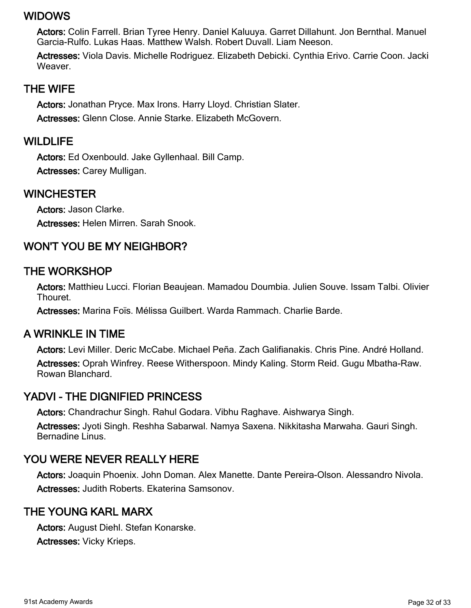### WIDOWS

Actors: Colin Farrell. Brian Tyree Henry. Daniel Kaluuya. Garret Dillahunt. Jon Bernthal. Manuel Garcia-Rulfo. Lukas Haas. Matthew Walsh. Robert Duvall. Liam Neeson.

Actresses: Viola Davis. Michelle Rodriguez. Elizabeth Debicki. Cynthia Erivo. Carrie Coon. Jacki Weaver.

#### THE WIFE

Actors: Jonathan Pryce. Max Irons. Harry Lloyd. Christian Slater. Actresses: Glenn Close. Annie Starke. Elizabeth McGovern.

#### WILDLIFE

Actors: Ed Oxenbould. Jake Gyllenhaal. Bill Camp. Actresses: Carey Mulligan.

#### WINCHESTER

Actors: Jason Clarke. Actresses: Helen Mirren. Sarah Snook.

# WON'T YOU BE MY NEIGHBOR?

# THE WORKSHOP

Actors: Matthieu Lucci. Florian Beaujean. Mamadou Doumbia. Julien Souve. Issam Talbi. Olivier Thouret.

Actresses: Marina Foïs. Mélissa Guilbert. Warda Rammach. Charlie Barde.

### A WRINKLE IN TIME

Actors: Levi Miller. Deric McCabe. Michael Peña. Zach Galifianakis. Chris Pine. André Holland. Actresses: Oprah Winfrey. Reese Witherspoon. Mindy Kaling. Storm Reid. Gugu Mbatha-Raw. Rowan Blanchard.

### YADVI - THE DIGNIFIED PRINCESS

Actors: Chandrachur Singh. Rahul Godara. Vibhu Raghave. Aishwarya Singh.

Actresses: Jyoti Singh. Reshha Sabarwal. Namya Saxena. Nikkitasha Marwaha. Gauri Singh. Bernadine Linus.

# YOU WERE NEVER REALLY HERE

Actors: Joaquin Phoenix. John Doman. Alex Manette. Dante Pereira-Olson. Alessandro Nivola. Actresses: Judith Roberts. Ekaterina Samsonov.

### THE YOUNG KARL MARX

Actors: August Diehl. Stefan Konarske. Actresses: Vicky Krieps.